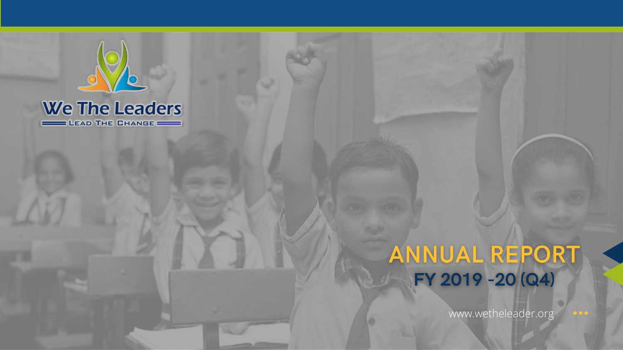

#### **We The Leaders** LEAD THE CHANGE

# ANNUAL REPORT<br>FY 2019 - 20 (Q4)

www.wetheleader.org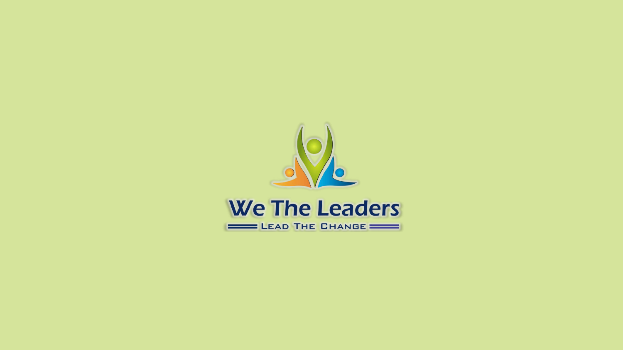

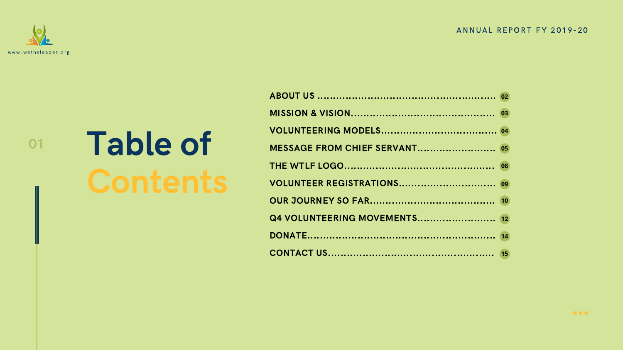# Table of

ABOUT US ......................... **MISSION & VISION.............** VOLUNTEERING MODELS... **MESSAGE FROM CHIEF SER THE WTLF LOGO............... VOLUNTEER REGISTRATION** OUR JOURNEY SO FAR....... **Q4 VOLUNTEERING MOVEM** DONATE............................ CONTACT US.....................

#### ANNUAL REPORT FY 2019-20

01



| 03 |  |
|----|--|
|    |  |
|    |  |
| 08 |  |
|    |  |
|    |  |
|    |  |
|    |  |
|    |  |

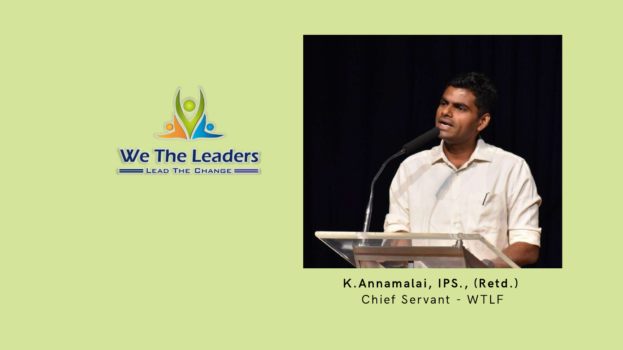



K.Annamalai, IPS., (Retd.) Chief Servant - WTLF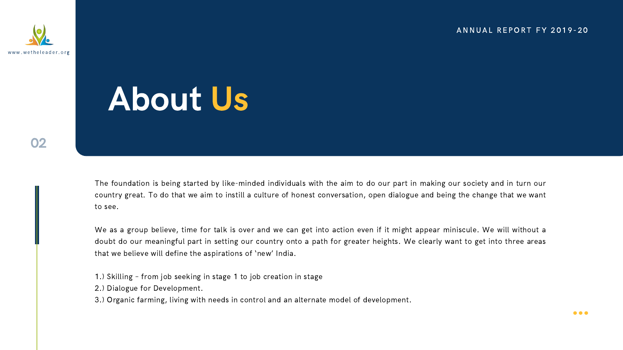The foundation is being started by like-minded individuals with the aim to do our part in making our society and in turn our country great. To do that we aim to instill a culture of honest conversation, open dialogue and being the change that we want to see.

We as a group believe, time for talk is over and we can get into action even if it might appear miniscule. We will without a doubt do our meaningful part in setting our country onto a path for greater heights. We clearly want to get into three areas that we believe will define the aspirations of 'new' India.

- 1.) Skilling from job seeking in stage 1 to job creation in stage
- 2.) Dialogue for Development.
- 3.) Organic farming, living with needs in control and an alternate model of development.

#### ANNUAL REPORT FY 2019-20



02

## About Us

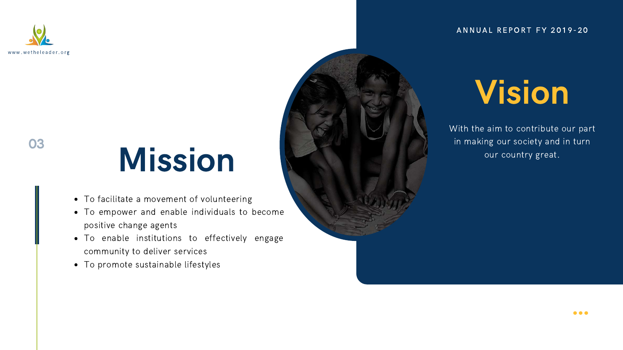- To facilitate a movement of volunteering
- To empower and enable individuals to become positive change agents
- To enable institutions to effectively engage community to deliver services
- To promote sustainable lifestyles

#### ANNUAL REPORT FY 2019-20

# Mission

With the aim to contribute our part in making our society and in turn our country great.



## Vision

03

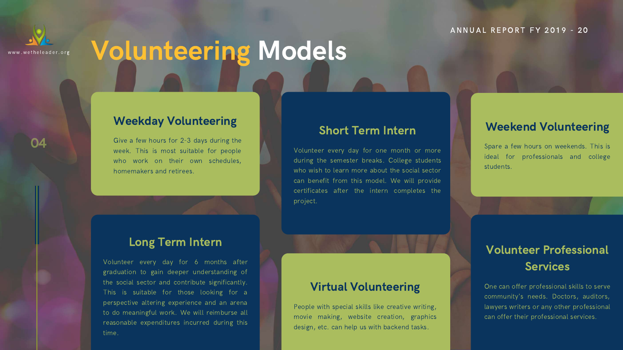### Volunteering Models

#### Weekday Volunteering

Give a few hours for 2-3 days during the week. This is most suitable for people who work on their own schedules, homemakers and retirees.

#### Long Term Intern

### Volunteer Professional **Services**

One can offer professional skills to serve community's needs. Doctors, auditors, lawyers writers or any other professional can offer their professional services.

Volunteer every day for 6 months after graduation to gain deeper understanding of the social sector and contribute significantly. This is suitable for those looking for a perspective altering experience and an arena to do meaningful work. We will reimburse all reasonable expenditures incurred during this time.

#### Weekend Volunteering

Spare a few hours on weekends. This is ideal for professionals and college students.

#### Virtual Volunteering

People with special skills like creative writing, movie making, website creation, graphics design, etc. can help us with backend tasks.

#### A N N U A L R E P O R T F Y 2019 - 20

#### Short Term Intern

Volunteer every day for one month or more during the semester breaks. College students who wish to learn more about the social sector can benefit from this model. We will provide certificates after the intern completes the project.



www.we t h e l e a d e r. o r g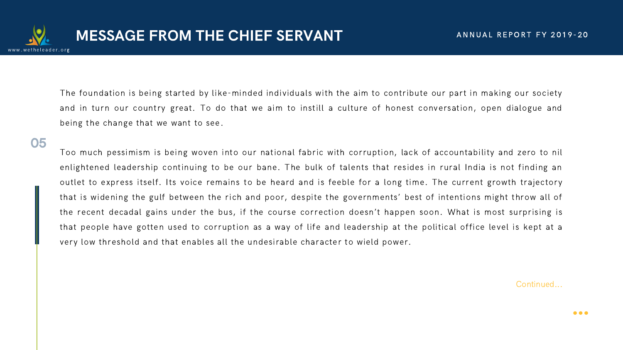The foundation is being started by like-minded individuals with the aim to contribute our part in making our society and in turn our country great. To do that we aim to instill a culture of honest conversation, open dialogue and being the change that we want to see.

Too much pessimism is being woven into our national fabric with corruption, lack of accountability and zero to nil enlightened leadership continuing to be our bane. The bulk of talents that resides in rural India is not finding an outlet to express itself. Its voice remains to be heard and is feeble for a long time. The current growth trajectory that is widening the gulf between the rich and poor, despite the governments' best of intentions might throw all of the recent decadal gains under the bus, if the course correction doesn't happen soon. What is most surprising is that people have gotten used to corruption as a way of life and leadership at the political office level is kept at a very low threshold and that enables all the undesirable character to wield power.



Continued...

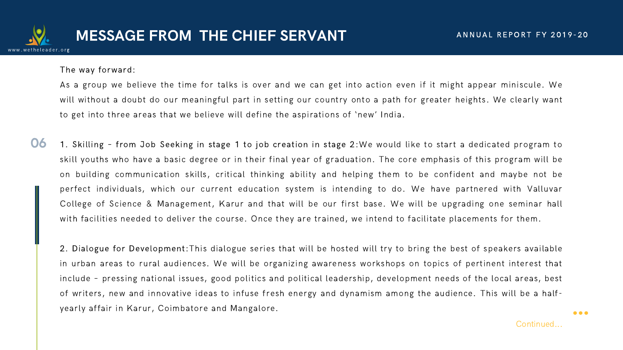The way forward:

As a group we believe the time for talks is over and we can get into action even if it might appear miniscule. We will without a doubt do our meaningful part in setting our country onto a path for greater heights. We clearly want to get into three areas that we believe will define the aspirations of 'new' India.

06 1. Skilling – from Job Seeking in stage 1 to job creation in stage 2:We would like to start a dedicated program to skill youths who have a basic degree or in their final year of graduation. The core emphasis of this program will be on building communication skills, critical thinking ability and helping them to be confident and maybe not be perfect individuals, which our current education system is intending to do. We have partnered with Valluvar College of Science & Management, Karur and that will be our first base. We will be upgrading one seminar hall with facilities needed to deliver the course. Once they are trained, we intend to facilitate placements for them.

2. Dialogue for Development:This dialogue series that will be hosted will try to bring the best of speakers available in urban areas to rural audiences. We will be organizing awareness workshops on topics of pertinent interest that include – pressing national issues, good politics and political leadership, development needs of the local areas, best of writers, new and innovative ideas to infuse fresh energy and dynamism among the audience. This will be a halfyearly affair in Karur, Coimbatore and Mangalore.



Continued...

...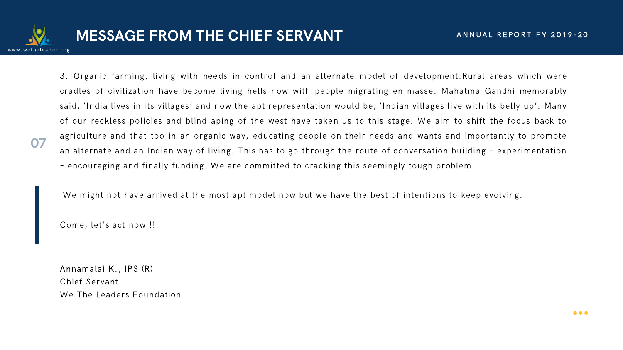### MESSAGE FROM THE CHIEF SERVANT

07

3. Organic farming, living with needs in control and an alternate model of development:Rural areas which were cradles of civilization have become living hells now with people migrating en masse. Mahatma Gandhi memorably said, 'India lives in its villages' and now the apt representation would be, 'Indian villages live with its belly up'. Many of our reckless policies and blind aping of the west have taken us to this stage. We aim to shift the focus back to agriculture and that too in an organic way, educating people on their needs and wants and importantly to promote an alternate and an Indian way of living. This has to go through the route of conversation building – experimentation – encouraging and finally funding. We are committed to cracking this seemingly tough problem.

We might not have arrived at the most apt model now but we have the best of intentions to keep evolving.

Come, let's act now !!!

Annamalai K., IPS (R) Chief Servant We The Leaders Foundation



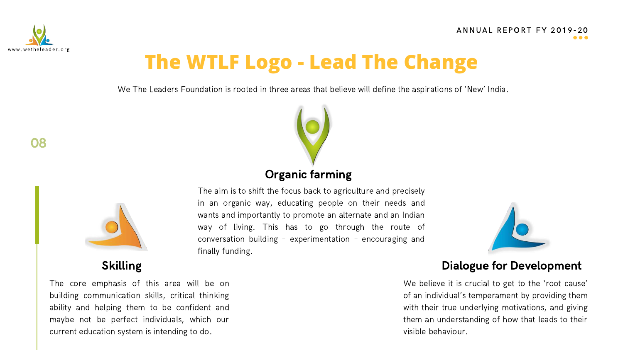



### **The WTLF Logo - Lead The Change**

We The Leaders Foundation is rooted in three areas that believe will define the aspirations of 'New' India.

The core emphasis of this area will be on building communication skills, critical thinking ability and helping them to be confident and maybe not be perfect individuals, which our current education system is intending to do.

#### ANNUAL REPORT FY 2019-20  $\bullet\bullet\bullet$





#### Skilling **Dialogue for Development**

We believe it is crucial to get to the 'root cause' of an individual's temperament by providing them with their true underlying motivations, and giving them an understanding of how that leads to their visible behaviour.

The aim is to shift the focus back to agriculture and precisely in an organic way, educating people on their needs and wants and importantly to promote an alternate and an Indian way of living. This has to go through the route of conversation building – experimentation – encouraging and finally funding.

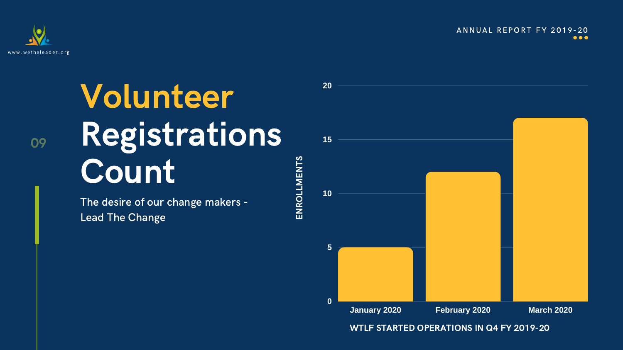# Volunteer Registrations Count

The desire of our change makers - Lead The Change



**20**

**15**

**10**

**5**

**0**



#### WTLF STARTED OPERATIONS IN Q4 FY 2019-20

ENROLLMENTS

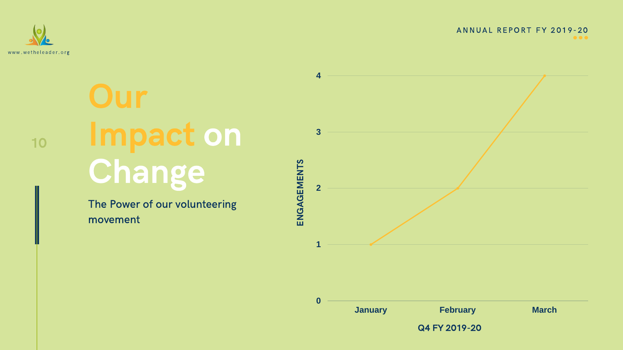Impact on Change

> The Power of our volunteering movement





Q4 FY 2019-20

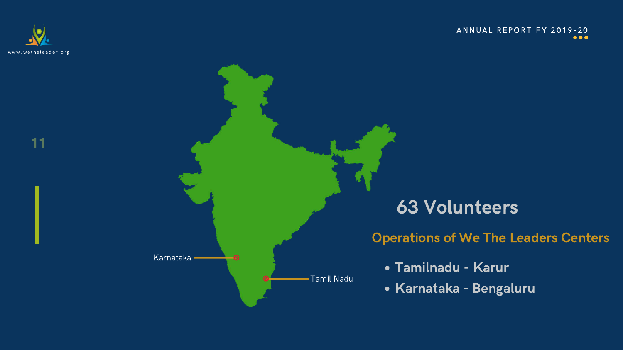



Karnataka

Tamil Nadu

### 63 Volunteers

Tamilnadu - Karur

Karnataka - Bengaluru

Operations of We The Leaders Centers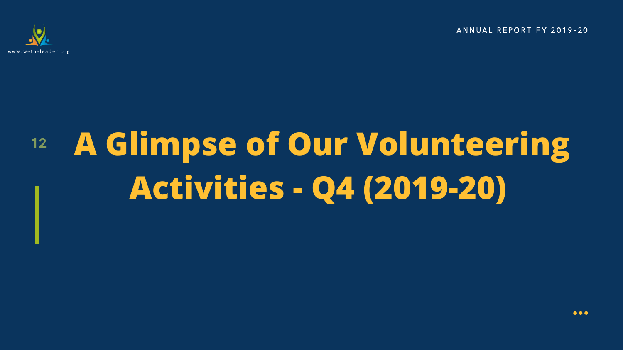

### 12 **A Glimpse of Our Volunteering Activities - Q4 (2019-20)**

ANNUAL REPORT FY 2019-20

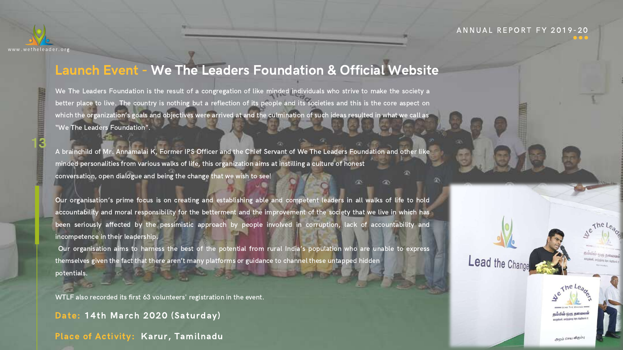We The Leaders Foundation is the result of a congregation of like minded individuals who strive to make the society a better place to live. The country is nothing but a reflection of its people and its societies and this is the core aspect on which the organization's goals and objectives were arrived at and the culmination of such ideas resulted in what we call as "We The Leaders Foundation".

Our organisation's prime focus is on creating and establishing able and competent leaders in all walks of life to hold accountability and moral responsibility for the betterment and the improvement of the society that we live in which has been seriously affected by the pessimistic approach by people involved in corruption, lack of accountability and incompetence in their leadership.

A brainchild of Mr. Annamalai K, Former IPS Officer and the Chief Servant of We The Leaders Foundation and other like minded personalities from various walks of life, this organization aims at instilling a culture of honest conversation, open dialogue and being the change that we wish to see!

Our organisation aims to harness the best of the potential from rural India's population who are unable to express themselves given the fact that there aren't many platforms or guidance to channel these untapped hidden potentials.

WTLF also recorded its first 63 volunteers' registration in the event.

13



### Launch Event - We The Leaders Foundation & Official Website

Date: 14th March 2020 (Saturday)

Place of Activity: Karur, Tamilnadu

#### ANNUAL REPORT FY 2019-20







அறம் செய விரும்பு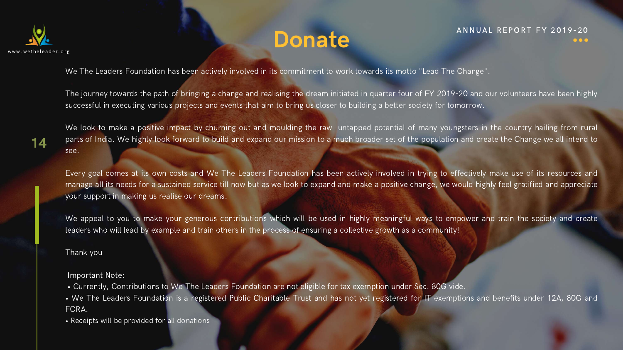We The Leaders Foundation has been actively involved in its commitment to work towards its motto "Lead The Change".

The journey towards the path of bringing a change and realising the dream initiated in quarter four of FY 2019-20 and our volunteers have been highly successful in executing various projects and events that aim to bring us closer to building a better society for tomorrow.

We look to make a positive impact by churning out and moulding the raw untapped potential of many youngsters in the country hailing from rural parts of India. We highly look forward to build and expand our mission to a much broader set of the population and create the Change we all intend to see.

We appeal to you to make your generous contributions which will be used in highly meaningful ways to empower and train the society and create leaders who will lead by example and train others in the process of ensuring a collective growth as a community!

Every goal comes at its own costs and We The Leaders Foundation has been actively involved in trying to effectively make use of its resources and manage all its needs for a sustained service till now but as we look to expand and make a positive change, we would highly feel gratified and appreciate your support in making us realise our dreams.

Thank you

Important Note:

- Currently, Contributions to We The Leaders Foundation are not eligible for tax exemption under Sec. 80G vide.
- We The Leaders Foundation is a registered Public Charitable Trust and has not yet registered for IT exemptions and benefits under 12A, 80G and FCRA.
- Receipts will be provided for all donations

14

### Donate<sup>ANNUAL REPORT FY 2019-20</sup>